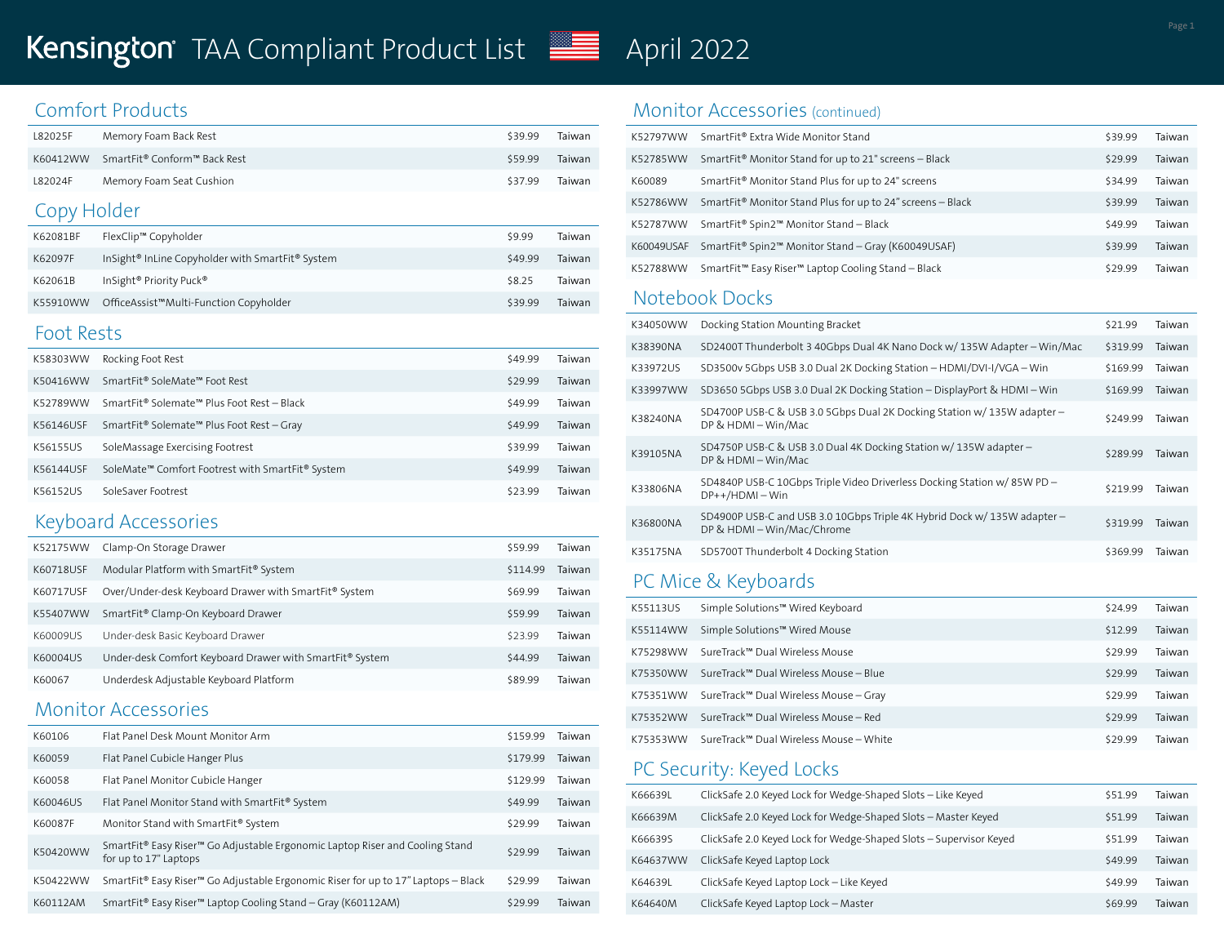### Comfort Products

| L82025F | Memory Foam Back Rest                             | \$39.99 | Taiwan |
|---------|---------------------------------------------------|---------|--------|
|         | K60412WW SmartFit <sup>®</sup> Conform™ Back Rest | \$59.99 | Taiwan |
| L82024F | Memory Foam Seat Cushion                          | \$37.99 | Taiwan |

### Copy Holder

| K62081BF | FlexClip™ Copyholder                                                     | \$9.99  | Taiwan |
|----------|--------------------------------------------------------------------------|---------|--------|
| K62097F  | InSight <sup>®</sup> InLine Copyholder with SmartFit <sup>®</sup> System | \$49.99 | Taiwan |
| K62061B  | InSight <sup>®</sup> Priority Puck <sup>®</sup>                          | \$8.25  | Taiwan |
| K55910WW | OfficeAssist™Multi-Function Copyholder                                   | \$39.99 | Taiwan |

#### Foot Rests

| K58303WW  | Rocking Foot Rest                                                        | \$49.99 | Taiwan |
|-----------|--------------------------------------------------------------------------|---------|--------|
| K50416WW  | SmartFit <sup>®</sup> SoleMate <sup>™</sup> Foot Rest                    | \$29.99 | Taiwan |
| K52789WW  | SmartFit <sup>®</sup> Solemate™ Plus Foot Rest - Black                   | \$49.99 | Taiwan |
| K56146USF | SmartFit <sup>®</sup> Solemate™ Plus Foot Rest – Gray                    | \$49.99 | Taiwan |
| K56155US  | SoleMassage Exercising Footrest                                          | \$39.99 | Taiwan |
| K56144USF | SoleMate <sup>™</sup> Comfort Footrest with SmartFit <sup>®</sup> System | \$49.99 | Taiwan |
| K56152US  | SoleSaver Footrest                                                       | \$23.99 | Taiwan |

### Keyboard Accessories

| K52175WW  | Clamp-On Storage Drawer                                  | \$59.99  | Taiwan |
|-----------|----------------------------------------------------------|----------|--------|
| K60718USF | Modular Platform with SmartFit® System                   | \$114.99 | Taiwan |
| K60717USF | Over/Under-desk Keyboard Drawer with SmartFit® System    | \$69.99  | Taiwan |
| K55407WW  | SmartFit <sup>®</sup> Clamp-On Keyboard Drawer           | \$59.99  | Taiwan |
| K60009US  | Under-desk Basic Keyboard Drawer                         | \$23.99  | Taiwan |
| K60004US  | Under-desk Comfort Keyboard Drawer with SmartFit® System | \$44.99  | Taiwan |
| K60067    | Underdesk Adjustable Keyboard Platform                   | \$89.99  | Taiwan |

#### Monitor Accessories

| K60106   | Flat Panel Desk Mount Monitor Arm                                                                     | \$159.99 | Taiwan |
|----------|-------------------------------------------------------------------------------------------------------|----------|--------|
| K60059   | Flat Panel Cubicle Hanger Plus                                                                        | \$179.99 | Taiwan |
| K60058   | Flat Panel Monitor Cubicle Hanger                                                                     | \$129.99 | Taiwan |
| K60046US | Flat Panel Monitor Stand with SmartFit® System                                                        | \$49.99  | Taiwan |
| K60087F  | Monitor Stand with SmartFit® System                                                                   | \$29.99  | Taiwan |
| K50420WW | SmartFit® Easy Riser™ Go Adjustable Ergonomic Laptop Riser and Cooling Stand<br>for up to 17" Laptops | \$29.99  | Taiwan |
| K50422WW | SmartFit® Easy Riser <sup>™</sup> Go Adjustable Ergonomic Riser for up to 17" Laptops - Black         | \$29.99  | Taiwan |
| K60112AM | SmartFit® Easy Riser <sup>™</sup> Laptop Cooling Stand – Gray (K60112AM)                              | \$29.99  | Taiwan |

#### Monitor Accessories (continued)

| K52797WW   | SmartFit <sup>®</sup> Extra Wide Monitor Stand                             | \$39.99 | Taiwan |
|------------|----------------------------------------------------------------------------|---------|--------|
| K52785WW   | SmartFit <sup>®</sup> Monitor Stand for up to 21" screens - Black          | \$29.99 | Taiwan |
| K60089     | SmartFit <sup>®</sup> Monitor Stand Plus for up to 24" screens             | \$34.99 | Taiwan |
| K52786WW   | SmartFit <sup>®</sup> Monitor Stand Plus for up to 24" screens - Black     | \$39.99 | Taiwan |
| K52787WW   | SmartFit <sup>®</sup> Spin2 <sup>™</sup> Monitor Stand - Black             | \$49.99 | Taiwan |
| K60049USAF | SmartFit <sup>®</sup> Spin2 <sup>™</sup> Monitor Stand - Gray (K60049USAF) | \$39.99 | Taiwan |
| K52788WW   | SmartFit <sup>™</sup> Easy Riser <sup>™</sup> Laptop Cooling Stand - Black | \$29.99 | Taiwan |

### Notebook Docks

| K34050WW | Docking Station Mounting Bracket                                                                       | \$21.99  | Taiwan |
|----------|--------------------------------------------------------------------------------------------------------|----------|--------|
| K38390NA | SD2400T Thunderbolt 3 40Gbps Dual 4K Nano Dock w/ 135W Adapter - Win/Mac                               | \$319.99 | Taiwan |
| K33972US | SD3500v 5Gbps USB 3.0 Dual 2K Docking Station - HDMI/DVI-I/VGA - Win                                   | \$169.99 | Taiwan |
| K33997WW | SD3650 5Gbps USB 3.0 Dual 2K Docking Station - DisplayPort & HDMI - Win                                | \$169.99 | Taiwan |
| K38240NA | SD4700P USB-C & USB 3.0 5Gbps Dual 2K Docking Station w/135W adapter -<br>DP & HDMI - Win/Mac          | \$249.99 | Taiwan |
| K39105NA | SD4750P USB-C & USB 3.0 Dual 4K Docking Station w/ 135W adapter -<br>DP & HDMI - Win/Mac               | \$289.99 | Taiwan |
| K33806NA | SD4840P USB-C 10Gbps Triple Video Driverless Docking Station w/85W PD-<br>$DP++/HDMI-Win$              | \$219.99 | Taiwan |
| K36800NA | SD4900P USB-C and USB 3.0 10Gbps Triple 4K Hybrid Dock w/ 135W adapter -<br>DP & HDMI - Win/Mac/Chrome | \$319.99 | Taiwan |
| K35175NA | SD5700T Thunderbolt 4 Docking Station                                                                  | \$369.99 | Taiwan |

# PC Mice & Keyboards

| K55113US | Simple Solutions™ Wired Keyboard       | \$24.99 | Taiwan |
|----------|----------------------------------------|---------|--------|
| K55114WW | Simple Solutions™ Wired Mouse          | \$12.99 | Taiwan |
| K75298WW | SureTrack™ Dual Wireless Mouse         | \$29.99 | Taiwan |
| K75350WW | SureTrack™ Dual Wireless Mouse – Blue  | \$29.99 | Taiwan |
| K75351WW | SureTrack™ Dual Wireless Mouse - Gray  | \$29.99 | Taiwan |
| K75352WW | SureTrack™ Dual Wireless Mouse - Red   | \$29.99 | Taiwan |
| K75353WW | SureTrack™ Dual Wireless Mouse – White | \$29.99 | Taiwan |

# PC Security: Keyed Locks

| K66639L  | ClickSafe 2.0 Keyed Lock for Wedge-Shaped Slots - Like Keyed       | \$51.99 | Taiwan |
|----------|--------------------------------------------------------------------|---------|--------|
| K66639M  | ClickSafe 2.0 Keyed Lock for Wedge-Shaped Slots - Master Keyed     | \$51.99 | Taiwan |
| K66639S  | ClickSafe 2.0 Keyed Lock for Wedge-Shaped Slots - Supervisor Keyed | \$51.99 | Taiwan |
| K64637WW | ClickSafe Keyed Laptop Lock                                        | \$49.99 | Taiwan |
| K64639L  | ClickSafe Keyed Laptop Lock - Like Keyed                           | \$49.99 | Taiwan |
| K64640M  | ClickSafe Keyed Laptop Lock - Master                               | \$69.99 | Taiwan |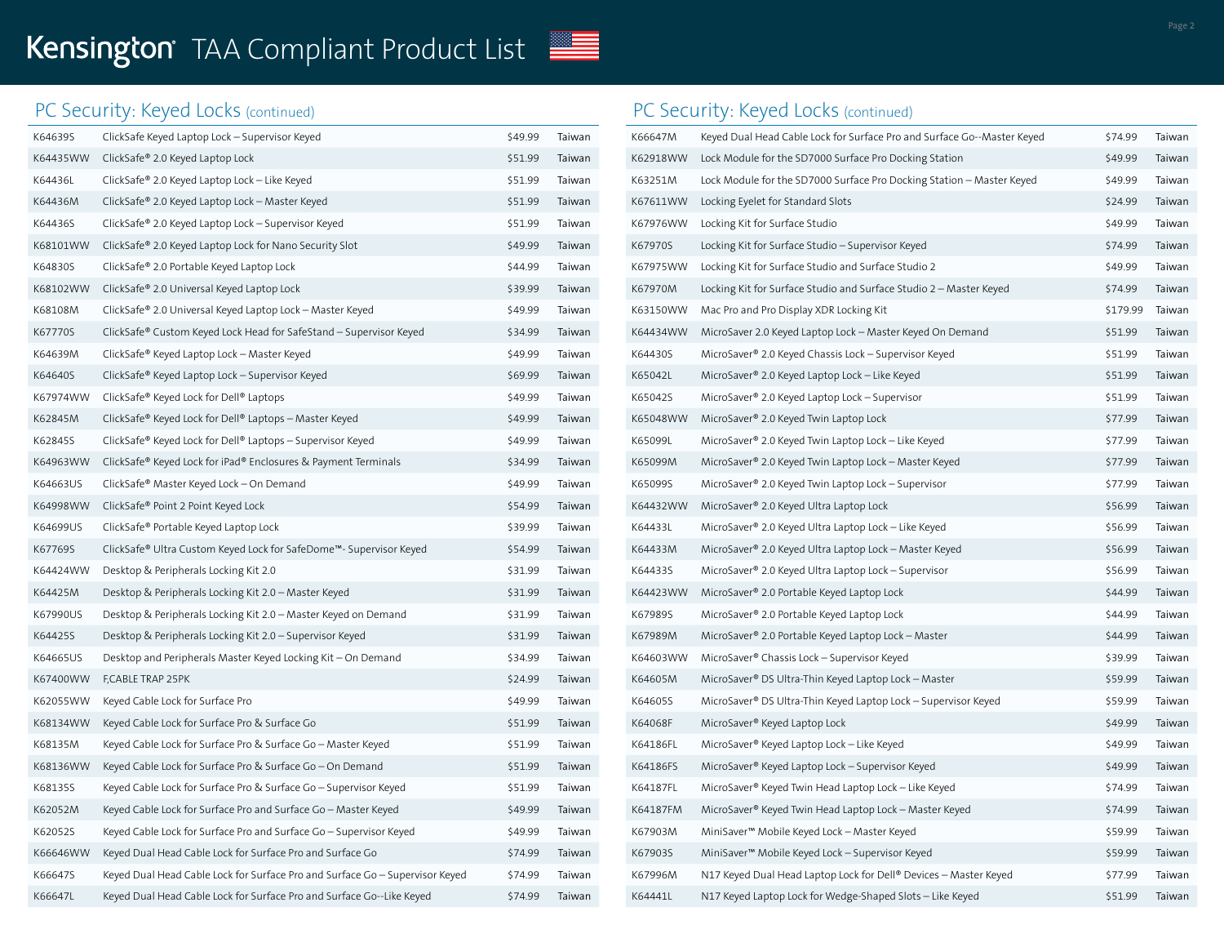# TAA Compliant Product List **April 202**222 2022

# PC Security: Keyed Locks (continued)

| K64639S  | ClickSafe Keyed Laptop Lock – Supervisor Keyed                               | \$49.99 | Taiwan |
|----------|------------------------------------------------------------------------------|---------|--------|
| K64435WW | ClickSafe® 2.0 Keyed Laptop Lock                                             | \$51.99 | Taiwan |
| K64436L  | ClickSafe® 2.0 Keyed Laptop Lock - Like Keyed                                | \$51.99 | Taiwan |
| K64436M  | ClickSafe® 2.0 Keyed Laptop Lock - Master Keyed                              | \$51.99 | Taiwan |
| K64436S  | ClickSafe® 2.0 Keyed Laptop Lock - Supervisor Keyed                          | \$51.99 | Taiwan |
| K68101WW | ClickSafe® 2.0 Keyed Laptop Lock for Nano Security Slot                      | \$49.99 | Taiwan |
| K64830S  | ClickSafe® 2.0 Portable Keyed Laptop Lock                                    | \$44.99 | Taiwan |
| K68102WW | ClickSafe® 2.0 Universal Keyed Laptop Lock                                   | \$39.99 | Taiwan |
| K68108M  | ClickSafe® 2.0 Universal Keyed Laptop Lock - Master Keyed                    | \$49.99 | Taiwan |
| K67770S  | ClickSafe® Custom Keyed Lock Head for SafeStand - Supervisor Keyed           | \$34.99 | Taiwan |
| K64639M  | ClickSafe® Keyed Laptop Lock - Master Keyed                                  | \$49.99 | Taiwan |
| K64640S  | ClickSafe® Keyed Laptop Lock - Supervisor Keyed                              | \$69.99 | Taiwan |
| K67974WW | ClickSafe® Keyed Lock for Dell® Laptops                                      | \$49.99 | Taiwan |
| K62845M  | ClickSafe® Keyed Lock for Dell® Laptops - Master Keyed                       | \$49.99 | Taiwan |
| K62845S  | ClickSafe® Keyed Lock for Dell® Laptops - Supervisor Keyed                   | \$49.99 | Taiwan |
| K64963WW | ClickSafe® Keyed Lock for iPad® Enclosures & Payment Terminals               | \$34.99 | Taiwan |
| K64663US | ClickSafe® Master Keyed Lock - On Demand                                     | \$49.99 | Taiwan |
| K64998WW | ClickSafe® Point 2 Point Keyed Lock                                          | \$54.99 | Taiwan |
| K64699US | ClickSafe® Portable Keyed Laptop Lock                                        | \$39.99 | Taiwan |
| K67769S  | ClickSafe® Ultra Custom Keyed Lock for SafeDome™- Supervisor Keyed           | \$54.99 | Taiwan |
| K64424WW | Desktop & Peripherals Locking Kit 2.0                                        | \$31.99 | Taiwan |
| K64425M  | Desktop & Peripherals Locking Kit 2.0 - Master Keyed                         | \$31.99 | Taiwan |
| K67990US | Desktop & Peripherals Locking Kit 2.0 - Master Keyed on Demand               | \$31.99 | Taiwan |
| K64425S  | Desktop & Peripherals Locking Kit 2.0 - Supervisor Keyed                     | \$31.99 | Taiwan |
| K64665US | Desktop and Peripherals Master Keyed Locking Kit - On Demand                 | \$34.99 | Taiwan |
| K67400WW | F,CABLE TRAP 25PK                                                            | \$24.99 | Taiwan |
| K62055WW | Keyed Cable Lock for Surface Pro                                             | \$49.99 | Taiwan |
| K68134WW | Keyed Cable Lock for Surface Pro & Surface Go                                | \$51.99 | Taiwan |
| K68135M  | Keyed Cable Lock for Surface Pro & Surface Go - Master Keyed                 | \$51.99 | Taiwan |
| K68136WW | Keyed Cable Lock for Surface Pro & Surface Go - On Demand                    | \$51.99 | Taiwan |
| K68135S  | Keyed Cable Lock for Surface Pro & Surface Go - Supervisor Keyed             | \$51.99 | Taiwan |
| K62052M  | Keyed Cable Lock for Surface Pro and Surface Go - Master Keyed               | \$49.99 | Taiwan |
| K62052S  | Keyed Cable Lock for Surface Pro and Surface Go - Supervisor Keyed           | \$49.99 | Taiwan |
| K66646WW | Keyed Dual Head Cable Lock for Surface Pro and Surface Go                    | \$74.99 | Taiwan |
| K66647S  | Keyed Dual Head Cable Lock for Surface Pro and Surface Go - Supervisor Keyed | \$74.99 | Taiwan |
| K66647L  | Keyed Dual Head Cable Lock for Surface Pro and Surface Go--Like Keyed        | \$74.99 | Taiwan |

# PC Security: Keyed Locks (continued)

| K66647M  | Keyed Dual Head Cable Lock for Surface Pro and Surface Go--Master Keyed | \$74.99  | Taiwan |
|----------|-------------------------------------------------------------------------|----------|--------|
| K62918WW | Lock Module for the SD7000 Surface Pro Docking Station                  | \$49.99  | Taiwan |
| K63251M  | Lock Module for the SD7000 Surface Pro Docking Station - Master Keyed   | \$49.99  | Taiwan |
| K67611WW | Locking Eyelet for Standard Slots                                       | \$24.99  | Taiwan |
| K67976WW | Locking Kit for Surface Studio                                          | \$49.99  | Taiwan |
| K67970S  | Locking Kit for Surface Studio - Supervisor Keyed                       | \$74.99  | Taiwan |
| K67975WW | Locking Kit for Surface Studio and Surface Studio 2                     | \$49.99  | Taiwan |
| K67970M  | Locking Kit for Surface Studio and Surface Studio 2 - Master Keyed      | \$74.99  | Taiwan |
| K63150WW | Mac Pro and Pro Display XDR Locking Kit                                 | \$179.99 | Taiwan |
| K64434WW | MicroSaver 2.0 Keyed Laptop Lock - Master Keyed On Demand               | \$51.99  | Taiwan |
| K64430S  | MicroSaver® 2.0 Keyed Chassis Lock - Supervisor Keyed                   | \$51.99  | Taiwan |
| K65042L  | MicroSaver® 2.0 Keyed Laptop Lock - Like Keyed                          | \$51.99  | Taiwan |
| K65042S  | MicroSaver® 2.0 Keyed Laptop Lock - Supervisor                          | \$51.99  | Taiwan |
| K65048WW | MicroSaver® 2.0 Keyed Twin Laptop Lock                                  | \$77.99  | Taiwan |
| K65099L  | MicroSaver® 2.0 Keyed Twin Laptop Lock - Like Keyed                     | \$77.99  | Taiwan |
| K65099M  | MicroSaver® 2.0 Keyed Twin Laptop Lock - Master Keyed                   | \$77.99  | Taiwan |
| K65099S  | MicroSaver® 2.0 Keyed Twin Laptop Lock - Supervisor                     | \$77.99  | Taiwan |
| K64432WW | MicroSaver® 2.0 Keyed Ultra Laptop Lock                                 | \$56.99  | Taiwan |
| K64433L  | MicroSaver® 2.0 Keyed Ultra Laptop Lock - Like Keyed                    | \$56.99  | Taiwan |
| K64433M  | MicroSaver® 2.0 Keyed Ultra Laptop Lock - Master Keyed                  | \$56.99  | Taiwan |
| K64433S  | MicroSaver® 2.0 Keyed Ultra Laptop Lock - Supervisor                    | \$56.99  | Taiwan |
| K64423WW | MicroSaver® 2.0 Portable Keyed Laptop Lock                              | \$44.99  | Taiwan |
| K67989S  | MicroSaver® 2.0 Portable Keyed Laptop Lock                              | \$44.99  | Taiwan |
| K67989M  | MicroSaver® 2.0 Portable Keyed Laptop Lock - Master                     | \$44.99  | Taiwan |
| K64603WW | MicroSaver® Chassis Lock - Supervisor Keyed                             | \$39.99  | Taiwan |
| K64605M  | MicroSaver® DS Ultra-Thin Keyed Laptop Lock - Master                    | \$59.99  | Taiwan |
| K64605S  | MicroSaver® DS Ultra-Thin Keyed Laptop Lock - Supervisor Keyed          | \$59.99  | Taiwan |
| K64068F  | MicroSaver® Keyed Laptop Lock                                           | \$49.99  | Taiwan |
| K64186FL | MicroSaver® Keyed Laptop Lock - Like Keyed                              | \$49.99  | Taiwan |
| K64186FS | MicroSaver® Keyed Laptop Lock - Supervisor Keyed                        | \$49.99  | Taiwan |
| K64187FL | MicroSaver® Keyed Twin Head Laptop Lock - Like Keyed                    | \$74.99  | Taiwan |
| K64187FM | MicroSaver® Keyed Twin Head Laptop Lock - Master Keyed                  | \$74.99  | Taiwan |
| K67903M  | MiniSaver <sup>™</sup> Mobile Keyed Lock - Master Keyed                 | \$59.99  | Taiwan |
| K67903S  | MiniSaver <sup>™</sup> Mobile Keyed Lock - Supervisor Keyed             | \$59.99  | Taiwan |
| K67996M  | N17 Keyed Dual Head Laptop Lock for Dell® Devices - Master Keyed        | \$77.99  | Taiwan |
| K64441L  | N17 Keyed Laptop Lock for Wedge-Shaped Slots - Like Keyed               | \$51.99  | Taiwan |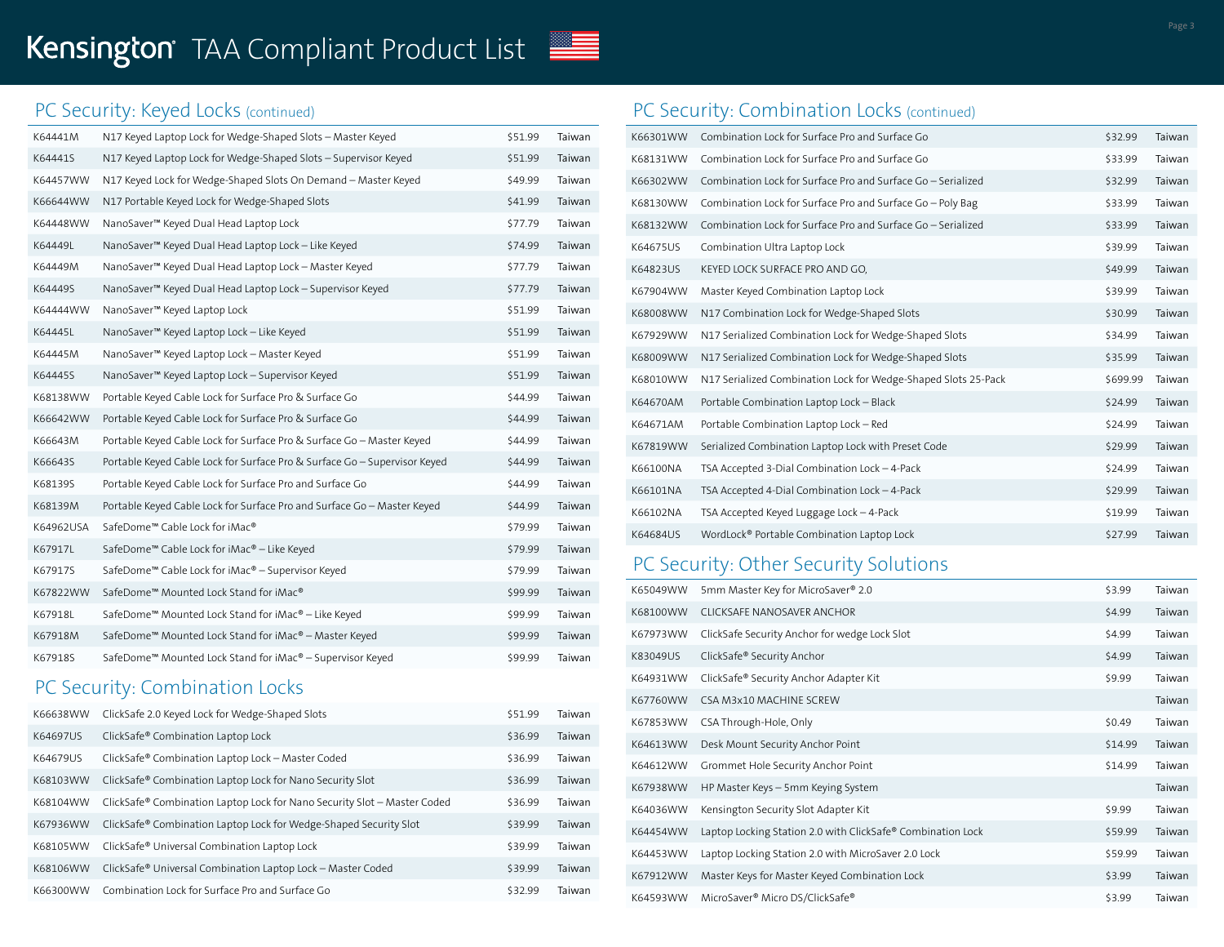# TAA Compliant Product List **April 202**222 2022

# PC Security: Keyed Locks (continued)

| K64441M   | N17 Keyed Laptop Lock for Wedge-Shaped Slots - Master Keyed               | \$51.99 | Taiwan |
|-----------|---------------------------------------------------------------------------|---------|--------|
| K64441S   | N17 Keyed Laptop Lock for Wedge-Shaped Slots - Supervisor Keyed           | \$51.99 | Taiwan |
| K64457WW  | N17 Keyed Lock for Wedge-Shaped Slots On Demand - Master Keyed            | \$49.99 | Taiwan |
| K66644WW  | N17 Portable Keyed Lock for Wedge-Shaped Slots                            | \$41.99 | Taiwan |
| K64448WW  | NanoSaver <sup>™</sup> Keyed Dual Head Laptop Lock                        | \$77.79 | Taiwan |
| K64449L   | NanoSaver <sup>™</sup> Keyed Dual Head Laptop Lock - Like Keyed           | \$74.99 | Taiwan |
| K64449M   | NanoSaver™ Keyed Dual Head Laptop Lock - Master Keyed                     | \$77.79 | Taiwan |
| K64449S   | NanoSaver <sup>™</sup> Keyed Dual Head Laptop Lock - Supervisor Keyed     | \$77.79 | Taiwan |
| K64444WW  | NanoSaver <sup>™</sup> Keyed Laptop Lock                                  | \$51.99 | Taiwan |
| K64445L   | NanoSaver <sup>™</sup> Keyed Laptop Lock - Like Keyed                     | \$51.99 | Taiwan |
| K64445M   | NanoSaver™ Keyed Laptop Lock - Master Keyed                               | \$51.99 | Taiwan |
| K64445S   | NanoSaver <sup>™</sup> Keyed Laptop Lock - Supervisor Keyed               | \$51.99 | Taiwan |
| K68138WW  | Portable Keyed Cable Lock for Surface Pro & Surface Go                    | \$44.99 | Taiwan |
| K66642WW  | Portable Keyed Cable Lock for Surface Pro & Surface Go                    | \$44.99 | Taiwan |
| K66643M   | Portable Keyed Cable Lock for Surface Pro & Surface Go - Master Keyed     | \$44.99 | Taiwan |
| K66643S   | Portable Keyed Cable Lock for Surface Pro & Surface Go - Supervisor Keyed | \$44.99 | Taiwan |
| K68139S   | Portable Keyed Cable Lock for Surface Pro and Surface Go                  | \$44.99 | Taiwan |
| K68139M   | Portable Keyed Cable Lock for Surface Pro and Surface Go - Master Keyed   | \$44.99 | Taiwan |
| K64962USA | SafeDome™ Cable Lock for iMac®                                            | \$79.99 | Taiwan |
| K67917L   | SafeDome <sup>™</sup> Cable Lock for iMac® - Like Keyed                   | \$79.99 | Taiwan |
| K67917S   | SafeDome™ Cable Lock for iMac® - Supervisor Keyed                         | \$79.99 | Taiwan |
| K67822WW  | SafeDome <sup>™</sup> Mounted Lock Stand for iMac®                        | \$99.99 | Taiwan |
| K67918L   | SafeDome <sup>™</sup> Mounted Lock Stand for iMac® - Like Keyed           | \$99.99 | Taiwan |
| K67918M   | SafeDome™ Mounted Lock Stand for iMac® - Master Keyed                     | \$99.99 | Taiwan |
| K67918S   | SafeDome™ Mounted Lock Stand for iMac® - Supervisor Keyed                 | \$99.99 | Taiwan |
|           | PC Security: Combination Locks                                            |         |        |
| K66638WW  | ClickSafe 2.0 Keyed Lock for Wedge-Shaped Slots                           | \$51.99 | Taiwan |

| <b>KOOO38VVVV</b> | CHCKSare 2.0 Keyed LOCK for Wedge-Shaped Slots                                       | 221.99  | Talwan |
|-------------------|--------------------------------------------------------------------------------------|---------|--------|
| K64697US          | ClickSafe <sup>®</sup> Combination Laptop Lock                                       | \$36.99 | Taiwan |
| K64679US          | ClickSafe® Combination Laptop Lock - Master Coded                                    | \$36.99 | Taiwan |
| K68103WW          | ClickSafe® Combination Laptop Lock for Nano Security Slot                            | \$36.99 | Taiwan |
| K68104WW          | ClickSafe <sup>®</sup> Combination Laptop Lock for Nano Security Slot - Master Coded | \$36.99 | Taiwan |
| K67936WW          | ClickSafe® Combination Laptop Lock for Wedge-Shaped Security Slot                    | \$39.99 | Taiwan |
| K68105WW          | ClickSafe® Universal Combination Laptop Lock                                         | \$39.99 | Taiwan |
| K68106WW          | ClickSafe® Universal Combination Laptop Lock - Master Coded                          | \$39.99 | Taiwan |
| K66300WW          | Combination Lock for Surface Pro and Surface Go                                      | \$32.99 | Taiwan |

# PC Security: Combination Locks (continued)

| K66301WW | Combination Lock for Surface Pro and Surface Go                | \$32.99  | Taiwan |
|----------|----------------------------------------------------------------|----------|--------|
| K68131WW | Combination Lock for Surface Pro and Surface Go                | \$33.99  | Taiwan |
| K66302WW | Combination Lock for Surface Pro and Surface Go - Serialized   | \$32.99  | Taiwan |
| K68130WW | Combination Lock for Surface Pro and Surface Go - Poly Bag     | \$33.99  | Taiwan |
| K68132WW | Combination Lock for Surface Pro and Surface Go - Serialized   | \$33.99  | Taiwan |
| K64675US | Combination Ultra Laptop Lock                                  | \$39.99  | Taiwan |
| K64823US | KEYED LOCK SURFACE PRO AND GO,                                 | \$49.99  | Taiwan |
| K67904WW | Master Keyed Combination Laptop Lock                           | \$39.99  | Taiwan |
| K68008WW | N17 Combination Lock for Wedge-Shaped Slots                    | \$30.99  | Taiwan |
| K67929WW | N17 Serialized Combination Lock for Wedge-Shaped Slots         | \$34.99  | Taiwan |
| K68009WW | N17 Serialized Combination Lock for Wedge-Shaped Slots         | \$35.99  | Taiwan |
| K68010WW | N17 Serialized Combination Lock for Wedge-Shaped Slots 25-Pack | \$699.99 | Taiwan |
| K64670AM | Portable Combination Laptop Lock - Black                       | \$24.99  | Taiwan |
| K64671AM | Portable Combination Laptop Lock - Red                         | \$24.99  | Taiwan |
| K67819WW | Serialized Combination Laptop Lock with Preset Code            | \$29.99  | Taiwan |
| K66100NA | TSA Accepted 3-Dial Combination Lock - 4-Pack                  | \$24.99  | Taiwan |
| K66101NA | TSA Accepted 4-Dial Combination Lock - 4-Pack                  | \$29.99  | Taiwan |
| K66102NA | TSA Accepted Keyed Luggage Lock - 4-Pack                       | \$19.99  | Taiwan |
| K64684US | WordLock® Portable Combination Laptop Lock                     | \$27.99  | Taiwan |

# PC Security: Other Security Solutions

| K65049WW | 5mm Master Key for MicroSaver® 2.0                          | \$3.99  | Taiwan |
|----------|-------------------------------------------------------------|---------|--------|
| K68100WW | CLICKSAFE NANOSAVER ANCHOR                                  | \$4.99  | Taiwan |
| K67973WW | ClickSafe Security Anchor for wedge Lock Slot               | \$4.99  | Taiwan |
| K83049US | ClickSafe® Security Anchor                                  | \$4.99  | Taiwan |
| K64931WW | ClickSafe® Security Anchor Adapter Kit                      | \$9.99  | Taiwan |
| K67760WW | CSA M3x10 MACHINE SCREW                                     |         | Taiwan |
| K67853WW | CSA Through-Hole, Only                                      | \$0.49  | Taiwan |
| K64613WW | Desk Mount Security Anchor Point                            | \$14.99 | Taiwan |
| K64612WW | Grommet Hole Security Anchor Point                          | \$14.99 | Taiwan |
| K67938WW | HP Master Keys - 5mm Keying System                          |         | Taiwan |
| K64036WW | Kensington Security Slot Adapter Kit                        | \$9.99  | Taiwan |
| K64454WW | Laptop Locking Station 2.0 with ClickSafe® Combination Lock | \$59.99 | Taiwan |
| K64453WW | Laptop Locking Station 2.0 with MicroSaver 2.0 Lock         | \$59.99 | Taiwan |
| K67912WW | Master Keys for Master Keyed Combination Lock               | \$3.99  | Taiwan |
| K64593WW | MicroSaver® Micro DS/ClickSafe®                             | \$3.99  | Taiwan |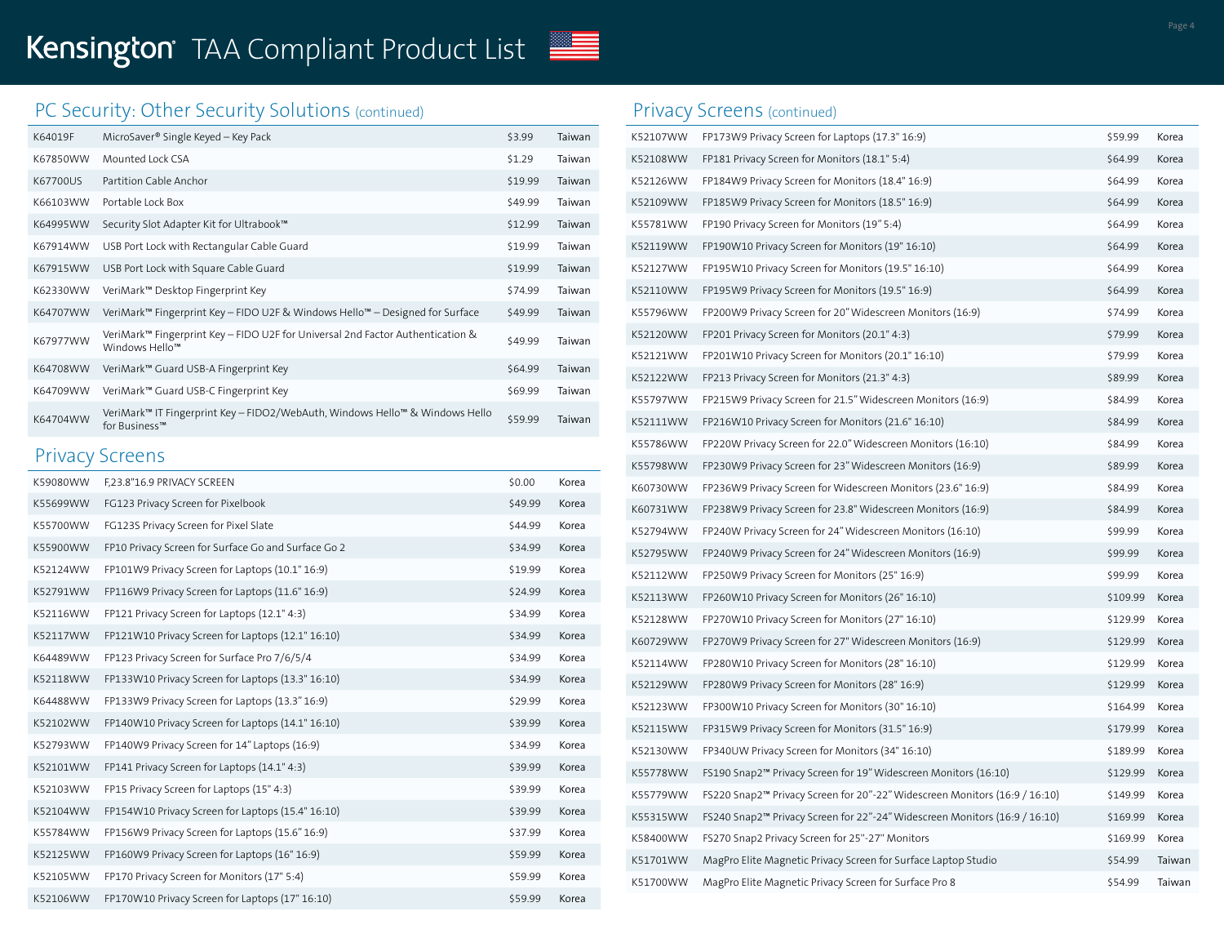# PC Security: Other Security Solutions (continued)

| K64019F  | MicroSaver® Single Keyed - Key Pack                                                                          | \$3.99  | Taiwan |
|----------|--------------------------------------------------------------------------------------------------------------|---------|--------|
| K67850WW | Mounted Lock CSA                                                                                             | \$1.29  | Taiwan |
| K67700US | Partition Cable Anchor                                                                                       | \$19.99 | Taiwan |
| K66103WW | Portable Lock Box                                                                                            | \$49.99 | Taiwan |
| K64995WW | Security Slot Adapter Kit for Ultrabook™                                                                     | \$12.99 | Taiwan |
| K67914WW | USB Port Lock with Rectangular Cable Guard                                                                   | \$19.99 | Taiwan |
| K67915WW | USB Port Lock with Square Cable Guard                                                                        | \$19.99 | Taiwan |
| K62330WW | VeriMark™ Desktop Fingerprint Key                                                                            | \$74.99 | Taiwan |
| K64707WW | VeriMark <sup>™</sup> Fingerprint Key – FIDO U2F & Windows Hello™ – Designed for Surface                     | \$49.99 | Taiwan |
| K67977WW | VeriMark <sup>™</sup> Fingerprint Key – FIDO U2F for Universal 2nd Factor Authentication &<br>Windows Hello™ | \$49.99 | Taiwan |
| K64708WW | VeriMark™ Guard USB-A Fingerprint Key                                                                        | \$64.99 | Taiwan |
| K64709WW | VeriMark™ Guard USB-C Fingerprint Key                                                                        | \$69.99 | Taiwan |
| K64704WW | VeriMark™ IT Fingerprint Key - FIDO2/WebAuth, Windows Hello™ & Windows Hello<br>for Business™                | \$59.99 | Taiwan |

#### Privacy Screens

| K59080WW | F,23.8"16.9 PRIVACY SCREEN                          | \$0.00  | Korea |
|----------|-----------------------------------------------------|---------|-------|
| K55699WW | FG123 Privacy Screen for Pixelbook                  | \$49.99 | Korea |
| K55700WW | FG123S Privacy Screen for Pixel Slate               | \$44.99 | Korea |
| K55900WW | FP10 Privacy Screen for Surface Go and Surface Go 2 | \$34.99 | Korea |
| K52124WW | FP101W9 Privacy Screen for Laptops (10.1" 16:9)     | \$19.99 | Korea |
| K52791WW | FP116W9 Privacy Screen for Laptops (11.6" 16:9)     | \$24.99 | Korea |
| K52116WW | FP121 Privacy Screen for Laptops (12.1" 4:3)        | \$34.99 | Korea |
| K52117WW | FP121W10 Privacy Screen for Laptops (12.1" 16:10)   | \$34.99 | Korea |
| K64489WW | FP123 Privacy Screen for Surface Pro 7/6/5/4        | \$34.99 | Korea |
| K52118WW | FP133W10 Privacy Screen for Laptops (13.3" 16:10)   | \$34.99 | Korea |
| K64488WW | FP133W9 Privacy Screen for Laptops (13.3" 16:9)     | \$29.99 | Korea |
| K52102WW | FP140W10 Privacy Screen for Laptops (14.1" 16:10)   | \$39.99 | Korea |
| K52793WW | FP140W9 Privacy Screen for 14" Laptops (16:9)       | \$34.99 | Korea |
| K52101WW | FP141 Privacy Screen for Laptops (14.1" 4:3)        | \$39.99 | Korea |
| K52103WW | FP15 Privacy Screen for Laptops (15" 4:3)           | \$39.99 | Korea |
| K52104WW | FP154W10 Privacy Screen for Laptops (15.4" 16:10)   | \$39.99 | Korea |
| K55784WW | FP156W9 Privacy Screen for Laptops (15.6" 16:9)     | \$37.99 | Korea |
| K52125WW | FP160W9 Privacy Screen for Laptops (16" 16:9)       | \$59.99 | Korea |
| K52105WW | FP170 Privacy Screen for Monitors (17" 5:4)         | \$59.99 | Korea |
| K52106WW | FP170W10 Privacy Screen for Laptops (17" 16:10)     | \$59.99 | Korea |

### Privacy Screens (continued)

| K52107WW | FP173W9 Privacy Screen for Laptops (17.3" 16:9)                                        | \$59.99  | Korea  |
|----------|----------------------------------------------------------------------------------------|----------|--------|
| K52108WW | FP181 Privacy Screen for Monitors (18.1" 5:4)                                          | \$64.99  | Korea  |
| K52126WW | FP184W9 Privacy Screen for Monitors (18.4" 16:9)                                       | \$64.99  | Korea  |
| K52109WW | FP185W9 Privacy Screen for Monitors (18.5" 16:9)                                       | \$64.99  | Korea  |
| K55781WW | FP190 Privacy Screen for Monitors (19" 5:4)                                            | \$64.99  | Korea  |
| K52119WW | FP190W10 Privacy Screen for Monitors (19" 16:10)                                       | \$64.99  | Korea  |
| K52127WW | FP195W10 Privacy Screen for Monitors (19.5" 16:10)                                     | \$64.99  | Korea  |
| K52110WW | FP195W9 Privacy Screen for Monitors (19.5" 16:9)                                       | \$64.99  | Korea  |
| K55796WW | FP200W9 Privacy Screen for 20" Widescreen Monitors (16:9)                              | \$74.99  | Korea  |
| K52120WW | FP201 Privacy Screen for Monitors (20.1" 4:3)                                          | \$79.99  | Korea  |
| K52121WW | FP201W10 Privacy Screen for Monitors (20.1" 16:10)                                     | \$79.99  | Korea  |
| K52122WW | FP213 Privacy Screen for Monitors (21.3" 4:3)                                          | \$89.99  | Korea  |
| K55797WW | FP215W9 Privacy Screen for 21.5" Widescreen Monitors (16:9)                            | \$84.99  | Korea  |
| K52111WW | FP216W10 Privacy Screen for Monitors (21.6" 16:10)                                     | \$84.99  | Korea  |
| K55786WW | FP220W Privacy Screen for 22.0" Widescreen Monitors (16:10)                            | \$84.99  | Korea  |
| K55798WW | FP230W9 Privacy Screen for 23" Widescreen Monitors (16:9)                              | \$89.99  | Korea  |
| K60730WW | FP236W9 Privacy Screen for Widescreen Monitors (23.6" 16:9)                            | \$84.99  | Korea  |
| K60731WW | FP238W9 Privacy Screen for 23.8" Widescreen Monitors (16:9)                            | \$84.99  | Korea  |
| K52794WW | FP240W Privacy Screen for 24" Widescreen Monitors (16:10)                              | \$99.99  | Korea  |
| K52795WW | FP240W9 Privacy Screen for 24" Widescreen Monitors (16:9)                              | \$99.99  | Korea  |
| K52112WW | FP250W9 Privacy Screen for Monitors (25" 16:9)                                         | \$99.99  | Korea  |
| K52113WW | FP260W10 Privacy Screen for Monitors (26" 16:10)                                       | \$109.99 | Korea  |
| K52128WW | FP270W10 Privacy Screen for Monitors (27" 16:10)                                       | \$129.99 | Korea  |
| K60729WW | FP270W9 Privacy Screen for 27" Widescreen Monitors (16:9)                              | \$129.99 | Korea  |
| K52114WW | FP280W10 Privacy Screen for Monitors (28" 16:10)                                       | \$129.99 | Korea  |
| K52129WW | FP280W9 Privacy Screen for Monitors (28" 16:9)                                         | \$129.99 | Korea  |
| K52123WW | FP300W10 Privacy Screen for Monitors (30" 16:10)                                       | \$164.99 | Korea  |
| K52115WW | FP315W9 Privacy Screen for Monitors (31.5" 16:9)                                       | \$179.99 | Korea  |
| K52130WW | FP340UW Privacy Screen for Monitors (34" 16:10)                                        | \$189.99 | Korea  |
| K55778WW | FS190 Snap2 <sup>™</sup> Privacy Screen for 19" Widescreen Monitors (16:10)            | \$129.99 | Korea  |
| K55779WW | FS220 Snap2 <sup>™</sup> Privacy Screen for 20"-22" Widescreen Monitors (16:9 / 16:10) | \$149.99 | Korea  |
| K55315WW | FS240 Snap2 <sup>™</sup> Privacy Screen for 22"-24" Widescreen Monitors (16:9 / 16:10) | \$169.99 | Korea  |
| K58400WW | FS270 Snap2 Privacy Screen for 25"-27" Monitors                                        | \$169.99 | Korea  |
| K51701WW | MagPro Elite Magnetic Privacy Screen for Surface Laptop Studio                         | \$54.99  | Taiwan |
| K51700WW | MagPro Elite Magnetic Privacy Screen for Surface Pro 8                                 | \$54.99  | Taiwan |
|          |                                                                                        |          |        |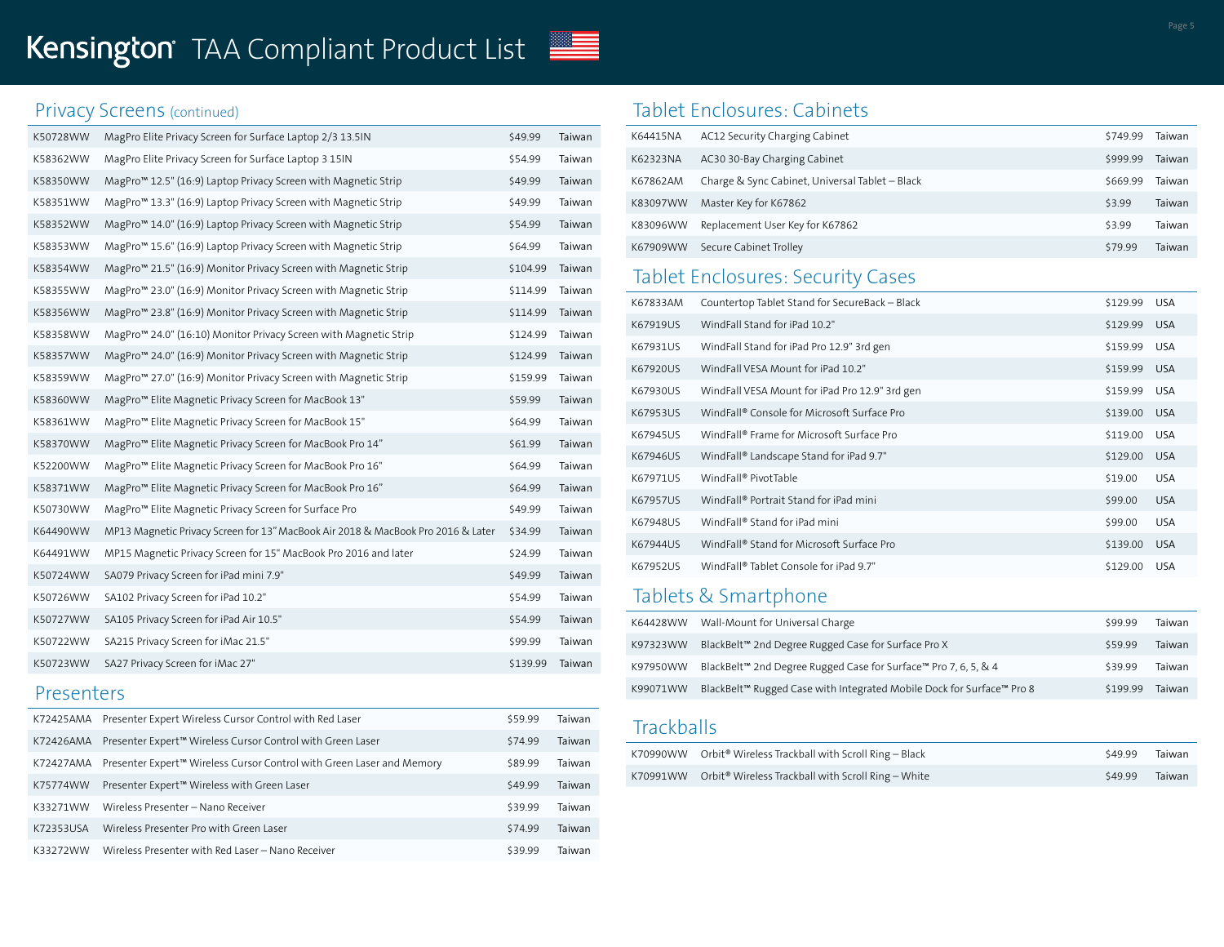# Kensington TAA Compliant Product List

#### Privacy Screens (continued)

| K50728WW | MagPro Elite Privacy Screen for Surface Laptop 2/3 13.5IN                        | \$49.99  | Taiwan |
|----------|----------------------------------------------------------------------------------|----------|--------|
| K58362WW | MagPro Elite Privacy Screen for Surface Laptop 3 15IN                            | \$54.99  | Taiwan |
| K58350WW | MagPro <sup>™</sup> 12.5" (16:9) Laptop Privacy Screen with Magnetic Strip       | \$49.99  | Taiwan |
| K58351WW | MagPro <sup>™</sup> 13.3" (16:9) Laptop Privacy Screen with Magnetic Strip       | \$49.99  | Taiwan |
| K58352WW | MagPro <sup>™</sup> 14.0" (16:9) Laptop Privacy Screen with Magnetic Strip       | \$54.99  | Taiwan |
| K58353WW | MagPro <sup>™</sup> 15.6" (16:9) Laptop Privacy Screen with Magnetic Strip       | \$64.99  | Taiwan |
| K58354WW | MagPro <sup>™</sup> 21.5" (16:9) Monitor Privacy Screen with Magnetic Strip      | \$104.99 | Taiwan |
| K58355WW | MagPro <sup>™</sup> 23.0" (16:9) Monitor Privacy Screen with Magnetic Strip      | \$114.99 | Taiwan |
| K58356WW | MagPro <sup>™</sup> 23.8" (16:9) Monitor Privacy Screen with Magnetic Strip      | \$114.99 | Taiwan |
| K58358WW | MagPro <sup>™</sup> 24.0" (16:10) Monitor Privacy Screen with Magnetic Strip     | \$124.99 | Taiwan |
| K58357WW | MagPro <sup>™</sup> 24.0" (16:9) Monitor Privacy Screen with Magnetic Strip      | \$124.99 | Taiwan |
| K58359WW | MagPro <sup>™</sup> 27.0" (16:9) Monitor Privacy Screen with Magnetic Strip      | \$159.99 | Taiwan |
| K58360WW | MagPro <sup>™</sup> Elite Magnetic Privacy Screen for MacBook 13"                | \$59.99  | Taiwan |
| K58361WW | MagPro <sup>™</sup> Elite Magnetic Privacy Screen for MacBook 15"                | \$64.99  | Taiwan |
| K58370WW | MagPro <sup>™</sup> Elite Magnetic Privacy Screen for MacBook Pro 14"            | \$61.99  | Taiwan |
| K52200WW | MagPro™ Elite Magnetic Privacy Screen for MacBook Pro 16"                        | \$64.99  | Taiwan |
| K58371WW | MagPro <sup>™</sup> Elite Magnetic Privacy Screen for MacBook Pro 16"            | \$64.99  | Taiwan |
| K50730WW | MagPro™ Elite Magnetic Privacy Screen for Surface Pro                            | \$49.99  | Taiwan |
| K64490WW | MP13 Magnetic Privacy Screen for 13" MacBook Air 2018 & MacBook Pro 2016 & Later | \$34.99  | Taiwan |
| K64491WW | MP15 Magnetic Privacy Screen for 15" MacBook Pro 2016 and later                  | \$24.99  | Taiwan |
| K50724WW | SA079 Privacy Screen for iPad mini 7.9"                                          | \$49.99  | Taiwan |
| K50726WW | SA102 Privacy Screen for iPad 10.2"                                              | \$54.99  | Taiwan |
| K50727WW | SA105 Privacy Screen for iPad Air 10.5"                                          | \$54.99  | Taiwan |
| K50722WW | SA215 Privacy Screen for iMac 21.5"                                              | \$99.99  | Taiwan |
| K50723WW | SA27 Privacy Screen for iMac 27"                                                 | \$139.99 | Taiwan |

#### Presenters

|           | K72425AMA Presenter Expert Wireless Cursor Control with Red Laser     | \$59.99 | Taiwan |
|-----------|-----------------------------------------------------------------------|---------|--------|
| K72426AMA | Presenter Expert™ Wireless Cursor Control with Green Laser            | \$74.99 | Taiwan |
| K72427AMA | Presenter Expert™ Wireless Cursor Control with Green Laser and Memory | \$89.99 | Taiwan |
| K75774WW  | Presenter Expert™ Wireless with Green Laser                           | \$49.99 | Taiwan |
| K33271WW  | Wireless Presenter - Nano Receiver                                    | \$39.99 | Taiwan |
| K72353USA | Wireless Presenter Pro with Green Laser                               | \$74.99 | Taiwan |
| K33272WW  | Wireless Presenter with Red Laser - Nano Receiver                     | \$39.99 | Taiwan |

### Tablet Enclosures: Cabinets

| K64415NA | AC12 Security Charging Cabinet                  | \$749.99 | Taiwan |
|----------|-------------------------------------------------|----------|--------|
| K62323NA | AC30 30-Bay Charging Cabinet                    | \$999.99 | Taiwan |
| K67862AM | Charge & Sync Cabinet, Universal Tablet - Black | \$669.99 | Taiwan |
| K83097WW | Master Key for K67862                           | \$3.99   | Taiwan |
| K83096WW | Replacement User Key for K67862                 | \$3.99   | Taiwan |
| K67909WW | Secure Cabinet Trolley                          | \$79.99  | Taiwan |

# Tablet Enclosures: Security Cases

| K67833AM | Countertop Tablet Stand for SecureBack - Black          | \$129.99 | <b>USA</b> |
|----------|---------------------------------------------------------|----------|------------|
| K67919US | WindFall Stand for iPad 10.2"                           | \$129.99 | <b>USA</b> |
| K67931US | WindFall Stand for iPad Pro 12.9" 3rd gen               | \$159.99 | <b>USA</b> |
| K67920US | WindFall VESA Mount for iPad 10.2"                      | \$159.99 | <b>USA</b> |
| K67930US | WindFall VESA Mount for iPad Pro 12.9" 3rd gen          | \$159.99 | <b>USA</b> |
| K67953US | WindFall <sup>®</sup> Console for Microsoft Surface Pro | \$139.00 | <b>USA</b> |
| K67945US | WindFall <sup>®</sup> Frame for Microsoft Surface Pro   | \$119.00 | <b>USA</b> |
| K67946US | WindFall® Landscape Stand for iPad 9.7"                 | \$129.00 | <b>USA</b> |
| K67971US | WindFall <sup>®</sup> PivotTable                        | \$19.00  | <b>USA</b> |
| K67957US | WindFall® Portrait Stand for iPad mini                  | \$99.00  | <b>USA</b> |
| K67948US | WindFall <sup>®</sup> Stand for iPad mini               | \$99.00  | <b>USA</b> |
| K67944US | WindFall <sup>®</sup> Stand for Microsoft Surface Pro   | \$139.00 | <b>USA</b> |
| K67952US | WindFall <sup>®</sup> Tablet Console for iPad 9.7"      | \$129.00 | <b>USA</b> |

# Tablets & Smartphone

| K64428WW | Wall-Mount for Universal Charge                                             | \$99.99  | Taiwan        |
|----------|-----------------------------------------------------------------------------|----------|---------------|
| K97323WW | BlackBelt™ 2nd Degree Rugged Case for Surface Pro X                         | \$59.99  | Taiwan        |
| K97950WW | BlackBelt <sup>™</sup> 2nd Degree Rugged Case for Surface™ Pro 7, 6, 5, & 4 | \$39.99  | Taiwan        |
| K99071WW | BlackBelt™ Rugged Case with Integrated Mobile Dock for Surface™ Pro 8       | \$199.99 | <b>Taiwan</b> |

#### **Trackballs**

| K70990WW Orbit® Wireless Trackball with Scroll Ring - Black               | \$49.99 Taiwan |  |
|---------------------------------------------------------------------------|----------------|--|
| $K70991WW$ Orbit <sup>®</sup> Wireless Trackball with Scroll Ring – White | \$49.99 Taiwan |  |